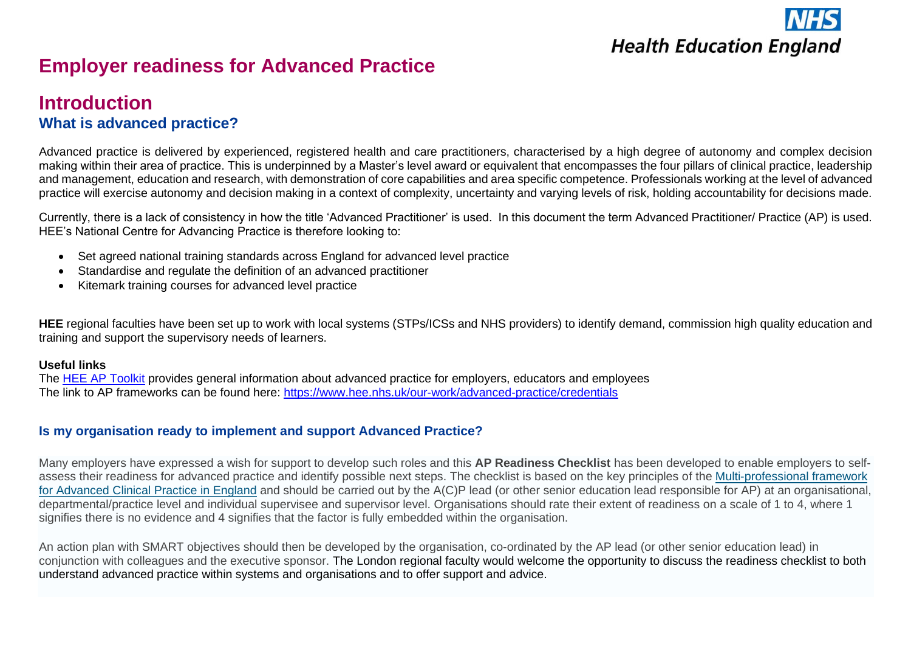

## **Employer readiness for Advanced Practice**

### **Introduction What is advanced practice?**

Advanced practice is delivered by experienced, registered health and care practitioners, characterised by a high degree of autonomy and complex decision making within their area of practice. This is underpinned by a Master's level award or equivalent that encompasses the four pillars of clinical practice, leadership and management, education and research, with demonstration of core capabilities and area specific competence. Professionals working at the level of advanced practice will exercise autonomy and decision making in a context of complexity, uncertainty and varying levels of risk, holding accountability for decisions made.

Currently, there is a lack of consistency in how the title 'Advanced Practitioner' is used. In this document the term Advanced Practitioner/ Practice (AP) is used. HEE's National Centre for Advancing Practice is therefore looking to:

- Set agreed national training standards across England for advanced level practice
- Standardise and regulate the definition of an advanced practitioner
- Kitemark training courses for advanced level practice

**HEE** regional faculties have been set up to work with local systems (STPs/ICSs and NHS providers) to identify demand, commission high quality education and training and support the supervisory needs of learners.

#### **Useful links**

The [HEE AP Toolkit](https://www.e-lfh.org.uk/programmes/advanced-practice-toolkit/) provides general information about advanced practice for employers, educators and employees The link to AP frameworks can be found here:<https://www.hee.nhs.uk/our-work/advanced-practice/credentials>

#### **Is my organisation ready to implement and support Advanced Practice?**

Many employers have expressed a wish for support to develop such roles and this **AP Readiness Checklist** has been developed to enable employers to selfassess their readiness for advanced practice and identify possible next steps. The checklist is based on the key principles of the [Multi-professional](https://www.hee.nhs.uk/our-work/advanced-clinical-practice/multi-professional-framework) framework for [Advanced](https://www.hee.nhs.uk/our-work/advanced-clinical-practice/multi-professional-framework) Clinical Practice in England and should be carried out by the A(C)P lead (or other senior education lead responsible for AP) at an organisational, departmental/practice level and individual supervisee and supervisor level. Organisations should rate their extent of readiness on a scale of 1 to 4, where 1 signifies there is no evidence and 4 signifies that the factor is fully embedded within the organisation.

An action plan with SMART objectives should then be developed by the organisation, co-ordinated by the AP lead (or other senior education lead) in conjunction with colleagues and the executive sponsor. The London regional faculty would welcome the opportunity to discuss the readiness checklist to both understand advanced practice within systems and organisations and to offer support and advice.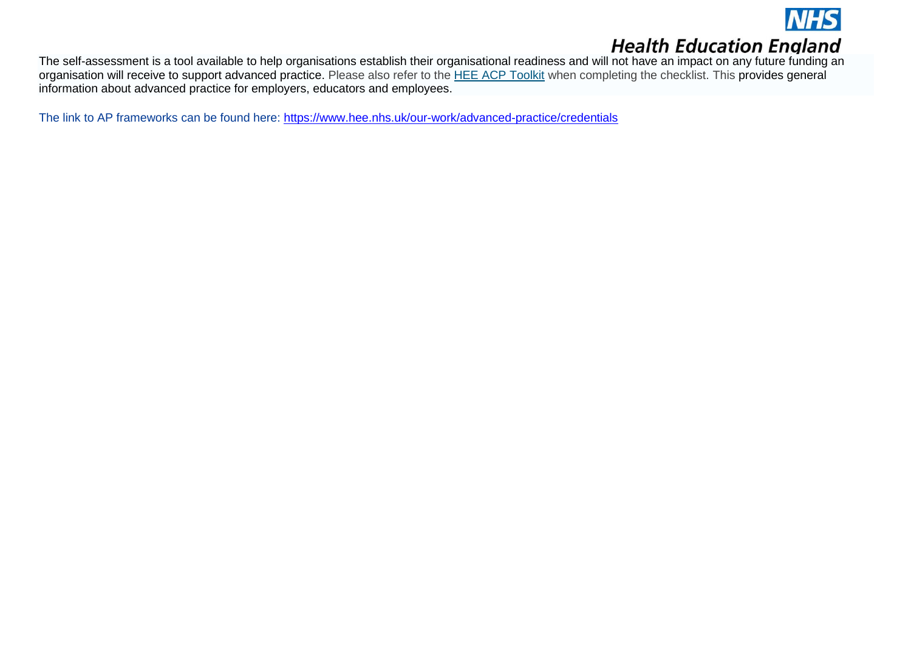

## **Health Education England**

The self-assessment is a tool available to help organisations establish their organisational readiness and will not have an impact on any future funding an organisation will receive to support advanced practice. Please also refer to the HEE ACP [Toolkit](https://www.e-lfh.org.uk/programmes/advanced-clinical-practice-toolkit/) when completing the checklist. This provides general information about advanced practice for employers, educators and employees.

The link to AP frameworks can be found here:<https://www.hee.nhs.uk/our-work/advanced-practice/credentials>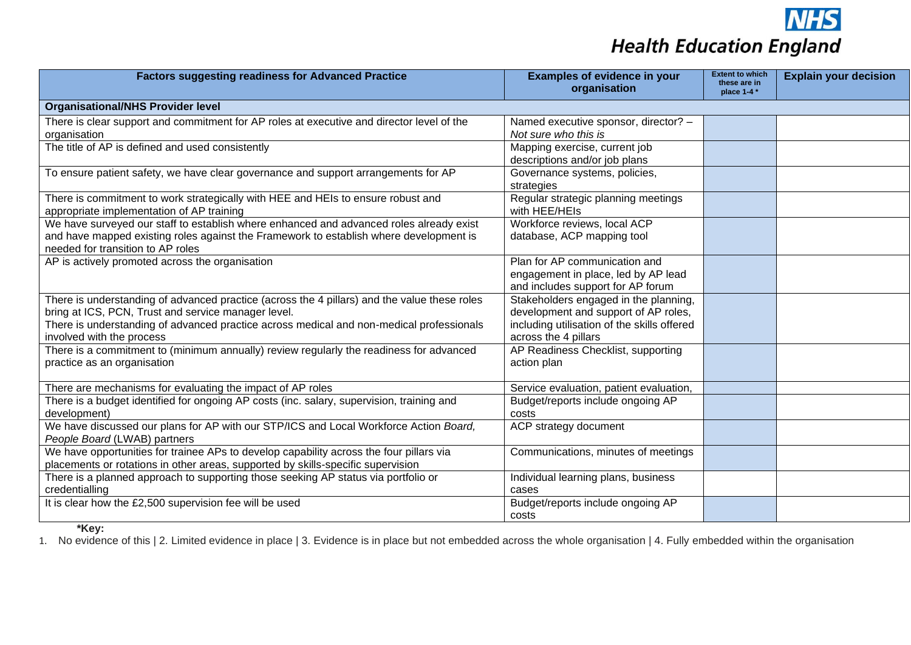

# **Health Education England**

| <b>Factors suggesting readiness for Advanced Practice</b>                                                                                                                                                                                                                    | <b>Examples of evidence in your</b><br>organisation                                                                                                  | <b>Extent to which</b><br>these are in<br>place 1-4 * | <b>Explain your decision</b> |
|------------------------------------------------------------------------------------------------------------------------------------------------------------------------------------------------------------------------------------------------------------------------------|------------------------------------------------------------------------------------------------------------------------------------------------------|-------------------------------------------------------|------------------------------|
| <b>Organisational/NHS Provider level</b>                                                                                                                                                                                                                                     |                                                                                                                                                      |                                                       |                              |
| There is clear support and commitment for AP roles at executive and director level of the<br>organisation                                                                                                                                                                    | Named executive sponsor, director? -<br>Not sure who this is                                                                                         |                                                       |                              |
| The title of AP is defined and used consistently                                                                                                                                                                                                                             | Mapping exercise, current job<br>descriptions and/or job plans                                                                                       |                                                       |                              |
| To ensure patient safety, we have clear governance and support arrangements for AP                                                                                                                                                                                           | Governance systems, policies,<br>strategies                                                                                                          |                                                       |                              |
| There is commitment to work strategically with HEE and HEIs to ensure robust and<br>appropriate implementation of AP training                                                                                                                                                | Regular strategic planning meetings<br>with HEE/HEIs                                                                                                 |                                                       |                              |
| We have surveyed our staff to establish where enhanced and advanced roles already exist<br>and have mapped existing roles against the Framework to establish where development is<br>needed for transition to AP roles                                                       | Workforce reviews, local ACP<br>database, ACP mapping tool                                                                                           |                                                       |                              |
| AP is actively promoted across the organisation                                                                                                                                                                                                                              | Plan for AP communication and<br>engagement in place, led by AP lead<br>and includes support for AP forum                                            |                                                       |                              |
| There is understanding of advanced practice (across the 4 pillars) and the value these roles<br>bring at ICS, PCN, Trust and service manager level.<br>There is understanding of advanced practice across medical and non-medical professionals<br>involved with the process | Stakeholders engaged in the planning,<br>development and support of AP roles,<br>including utilisation of the skills offered<br>across the 4 pillars |                                                       |                              |
| There is a commitment to (minimum annually) review regularly the readiness for advanced<br>practice as an organisation                                                                                                                                                       | AP Readiness Checklist, supporting<br>action plan                                                                                                    |                                                       |                              |
| There are mechanisms for evaluating the impact of AP roles                                                                                                                                                                                                                   | Service evaluation, patient evaluation,                                                                                                              |                                                       |                              |
| There is a budget identified for ongoing AP costs (inc. salary, supervision, training and<br>development)                                                                                                                                                                    | Budget/reports include ongoing AP<br>costs                                                                                                           |                                                       |                              |
| We have discussed our plans for AP with our STP/ICS and Local Workforce Action Board,<br>People Board (LWAB) partners                                                                                                                                                        | ACP strategy document                                                                                                                                |                                                       |                              |
| We have opportunities for trainee APs to develop capability across the four pillars via<br>placements or rotations in other areas, supported by skills-specific supervision                                                                                                  | Communications, minutes of meetings                                                                                                                  |                                                       |                              |
| There is a planned approach to supporting those seeking AP status via portfolio or<br>credentialling                                                                                                                                                                         | Individual learning plans, business<br>cases                                                                                                         |                                                       |                              |
| It is clear how the £2,500 supervision fee will be used                                                                                                                                                                                                                      | Budget/reports include ongoing AP<br>costs                                                                                                           |                                                       |                              |

**\*Key:**

1. No evidence of this | 2. Limited evidence in place | 3. Evidence is in place but not embedded across the whole organisation | 4. Fully embedded within the organisation